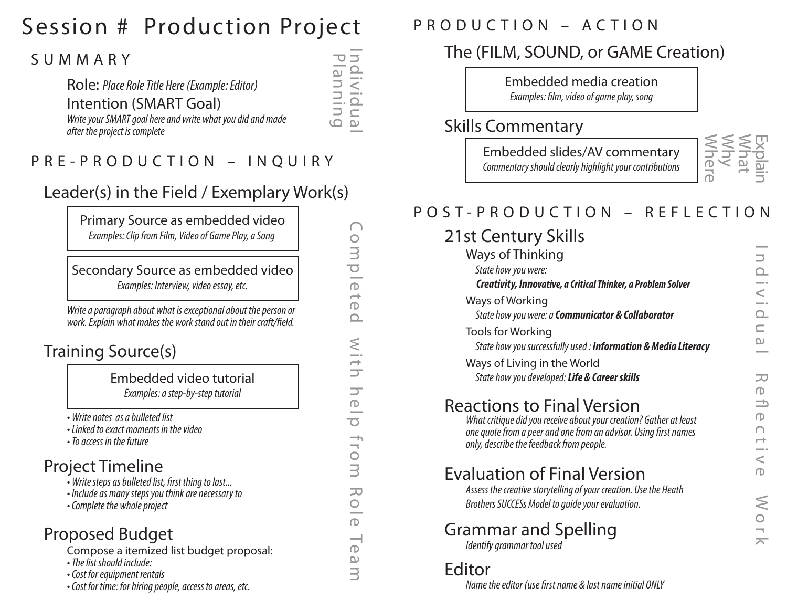## Session # Production Project

#### SUMMARY

#### Role: *Place Role Title Here (Example: Editor)* Intention (SMART Goal) *Write your SMART goal here and write what you did and made after the project is complete*

#### PRE-PRODUCTION – INQUIRY

#### Leader(s) in the Field / Exemplary Work(s)

Primary Source as embedded video *Examples: Clip from Film, Video of Game Play, a Song* 

Secondary Source as embedded video *Examples: Interview, video essay, etc.*

*Write a paragraph about what is exceptional about the person or*  work. Explain what makes the work stand out in their craft/field.

#### Training Source(s)

Embedded video tutorial *Examples: a step-by-step tutorial*

*• Write notes as a bulleted list* 

- *Linked to exact moments in the video*
- *To access in the future*

#### Project Timeline

- Write steps as bulleted list, first thing to last...
- *Include as many steps you think are necessary to*
- *Complete the whole project*

#### Proposed Budget

Compose a itemized list budget proposal:

- *The list should include:*
- *Cost for equipment rentals*

*• Cost for time: for hiring people, access to areas, etc.*

| PRODUCTION - ACTION |  |  |  |  |  |  |  |  |  |  |  |  |  |  |  |  |  |
|---------------------|--|--|--|--|--|--|--|--|--|--|--|--|--|--|--|--|--|
|---------------------|--|--|--|--|--|--|--|--|--|--|--|--|--|--|--|--|--|

#### The (FILM, SOUND, or GAME Creation)

Embedded media creation *Examples: film, video of game play, song* 

#### Skills Commentary

Embedded slides/AV commentary *Commentary should clearly highlight your contributions*



## POST-PRODUCTION – REFLECTION

## 21st Century Skills

| Ways of Thinking<br>State how you were:<br><b>Creativity, Innovative, a Critical Thinker, a Problem Solver</b>                                                                                                          |
|-------------------------------------------------------------------------------------------------------------------------------------------------------------------------------------------------------------------------|
| Ways of Working<br>State how you were: a Communicator & Collaborator                                                                                                                                                    |
| <b>Tools for Working</b><br>State how you successfully used: Information & Media Literacy                                                                                                                               |
| Ways of Living in the World<br>State how you developed: Life & Career skills                                                                                                                                            |
| <b>Reactions to Final Version</b><br>What critique did you receive about your creation? Gather at least<br>one quote from a peer and one from an advisor. Using first names<br>only, describe the feedback from people. |
| <b>Evaluation of Final Version</b><br>Assess the creative storytelling of your creation. Use the Heath<br>Brothers SUCCESs Model to quide your evaluation.                                                              |
| Grammar and Spelling<br>Identify grammar tool used                                                                                                                                                                      |

#### Editor

*Name the editor (use first name & last name initial ONLY* 

Completed with help from Role Team om p  $\bigcirc$  $\rightarrow$  $\bigcirc$  $\Omega$ with  $\overline{\phantom{0}}$  $\bigcirc$ 

 $\overline{\mathcal{O}}$ 

fro

 $\bar{\exists}$ 

元

 $\bigcirc$ -

 $\bigcirc$  $\overline{\phantom{0}}$ 

 $\bigcirc$  $\omega$  $\overline{\exists}$ 

Individual Planning

 $\supset$  $\Omega$  $\overline{z}$  $\frac{1}{\Omega}$  $\subseteq$  $\mathbf{\Omega}$